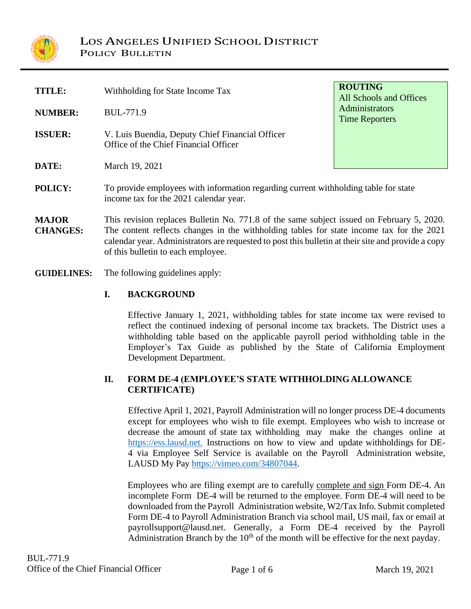

| TITLE:                          | Withholding for State Income Tax                                                                                                                                                                                                                                                                                                   | <b>ROUTING</b><br>All Schools and Offices |  |  |  |
|---------------------------------|------------------------------------------------------------------------------------------------------------------------------------------------------------------------------------------------------------------------------------------------------------------------------------------------------------------------------------|-------------------------------------------|--|--|--|
| <b>NUMBER:</b>                  | <b>BUL-771.9</b>                                                                                                                                                                                                                                                                                                                   | Administrators<br><b>Time Reporters</b>   |  |  |  |
| <b>ISSUER:</b>                  | V. Luis Buendia, Deputy Chief Financial Officer<br>Office of the Chief Financial Officer                                                                                                                                                                                                                                           |                                           |  |  |  |
| DATE:                           | March 19, 2021                                                                                                                                                                                                                                                                                                                     |                                           |  |  |  |
| POLICY:                         | To provide employees with information regarding current withholding table for state<br>income tax for the 2021 calendar year.                                                                                                                                                                                                      |                                           |  |  |  |
| <b>MAJOR</b><br><b>CHANGES:</b> | This revision replaces Bulletin No. 771.8 of the same subject issued on February 5, 2020.<br>The content reflects changes in the withholding tables for state income tax for the 2021<br>calendar year. Administrators are requested to post this bullet in at their site and provide a copy<br>of this bulletin to each employee. |                                           |  |  |  |

**GUIDELINES:** The following guidelines apply:

## **I. BACKGROUND**

Effective January 1, 2021, withholding tables for state income tax were revised to reflect the continued indexing of personal income tax brackets. The District uses a withholding table based on the applicable payroll period withholding table in the Employer's Tax Guide as published by the State of California Employment Development Department.

## **II. FORM DE-4 (EMPLOYEE'S STATE WITHHOLDINGALLOWANCE CERTIFICATE)**

Effective April 1, 2021, Payroll Administration will no longer process DE-4 documents except for employees who wish to file exempt. Employees who wish to increase or decrease the amount of state tax withholding may make the changes online at [https://ess.lausd.net.](https://ess.lausd.net/) Instructions on how to view and update withholdings for DE-4 via Employee Self Service is available on the Payroll Administration website, LAUSD My Pay [https://vimeo.com/34807044.](https://vimeo.com/34807044)

Employees who are filing exempt are to carefully complete and sign Form DE-4. An incomplete Form DE-4 will be returned to the employee. Form DE-4 will need to be downloaded from the Payroll Administration website, W2/Tax Info. Submit completed Form DE-4 to Payroll Administration Branch via school mail, US mail, fax or email at payrollsupport@lausd.net. Generally, a Form DE-4 received by the Payroll Administration Branch by the  $10<sup>th</sup>$  of the month will be effective for the next payday.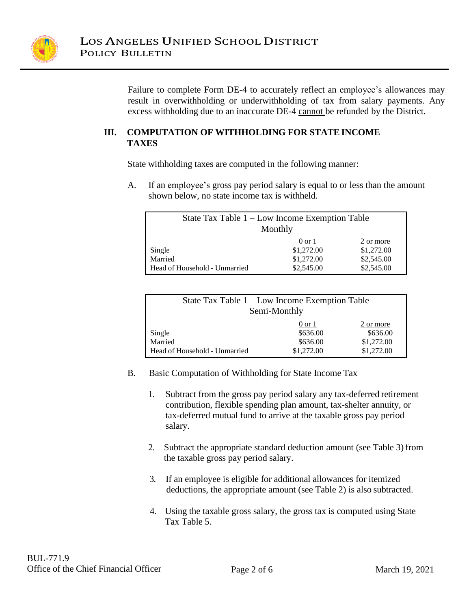

Failure to complete Form DE-4 to accurately reflect an employee's allowances may result in overwithholding or underwithholding of tax from salary payments. Any excess withholding due to an inaccurate DE-4 cannot be refunded by the District.

## **III. COMPUTATION OF WITHHOLDING FOR STATEINCOME TAXES**

State withholding taxes are computed in the following manner:

A. If an employee's gross pay period salary is equal to or less than the amount shown below, no state income tax is withheld.

| State Tax Table 1 – Low Income Exemption Table<br>Monthly |                                               |                                       |  |  |
|-----------------------------------------------------------|-----------------------------------------------|---------------------------------------|--|--|
| Single<br>Married                                         | $0 \text{ or } 1$<br>\$1,272.00<br>\$1,272.00 | 2 or more<br>\$1,272.00<br>\$2,545.00 |  |  |
| Head of Household - Unmarried                             | \$2,545.00                                    | \$2,545.00                            |  |  |

| State Tax Table 1 – Low Income Exemption Table<br>Semi-Monthly |                   |            |  |  |  |
|----------------------------------------------------------------|-------------------|------------|--|--|--|
|                                                                | $0 \text{ or } 1$ | 2 or more  |  |  |  |
| Single<br>Married                                              | \$636.00          | \$636.00   |  |  |  |
|                                                                | \$636.00          | \$1,272.00 |  |  |  |
| Head of Household - Unmarried                                  | \$1,272.00        | \$1,272.00 |  |  |  |

- B. Basic Computation of Withholding for State Income Tax
	- 1. Subtract from the gross pay period salary any tax-deferred retirement contribution, flexible spending plan amount, tax-shelter annuity, or tax-deferred mutual fund to arrive at the taxable gross pay period salary.
	- 2. Subtract the appropriate standard deduction amount (see Table 3) from the taxable gross pay period salary.
	- 3. If an employee is eligible for additional allowances for itemized deductions, the appropriate amount (see Table 2) is also subtracted.
	- 4. Using the taxable gross salary, the gross tax is computed using State Tax Table 5.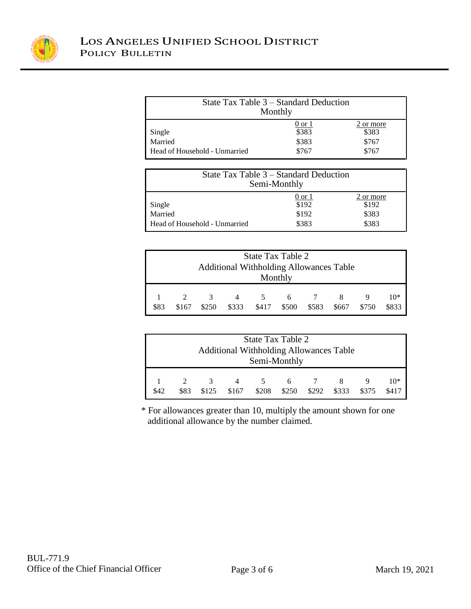

| State Tax Table 3 – Standard Deduction<br>Monthly  |                 |                    |  |  |
|----------------------------------------------------|-----------------|--------------------|--|--|
|                                                    | 0 or 1<br>\$383 | 2 or more<br>\$383 |  |  |
| Single<br>Married<br>Head of Household - Unmarried | \$383<br>\$767  | \$767<br>\$767     |  |  |

| State Tax Table 3 – Standard Deduction<br>Semi-Monthly |                 |                    |  |  |
|--------------------------------------------------------|-----------------|--------------------|--|--|
|                                                        | 0 or 1<br>\$192 | 2 or more<br>\$192 |  |  |
| Single<br>Married<br>Head of Household - Unmarried     | \$192<br>\$383  | \$383<br>\$383     |  |  |

| State Tax Table 2<br><b>Additional Withholding Allowances Table</b><br>Monthly |                                                                                                                                           |  |  |  |  |  |  |  |  |
|--------------------------------------------------------------------------------|-------------------------------------------------------------------------------------------------------------------------------------------|--|--|--|--|--|--|--|--|
| \$83                                                                           | $10*$<br>$\mathcal{R}$<br>$\overline{7}$<br>6<br>4<br>5.<br>\$417<br>\$333<br>\$500<br>\$250<br>\$583<br>\$833<br>\$750<br>\$167<br>\$667 |  |  |  |  |  |  |  |  |

| State Tax Table 2<br><b>Additional Withholding Allowances Table</b><br>Semi-Monthly |                                                                                                                             |  |  |  |  |  |  |  |  |
|-------------------------------------------------------------------------------------|-----------------------------------------------------------------------------------------------------------------------------|--|--|--|--|--|--|--|--|
| \$42                                                                                | $10*$<br>$\overline{\mathcal{E}}$<br>4<br>6<br>\$250<br>\$375<br>\$208<br>\$292<br>\$333<br>\$83<br>\$125<br>\$167<br>\$417 |  |  |  |  |  |  |  |  |

\* For allowances greater than 10, multiply the amount shown for one additional allowance by the number claimed.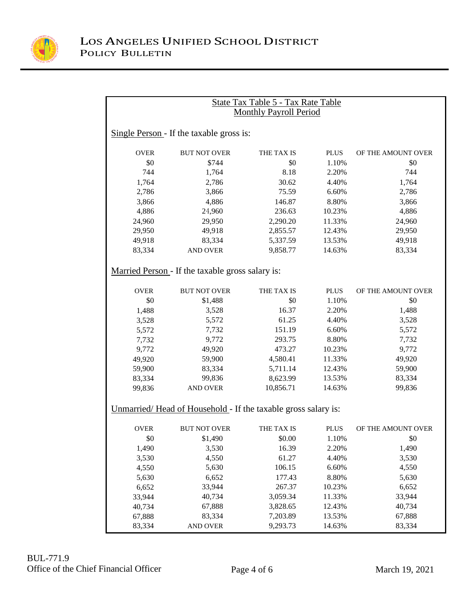

| <b>State Tax Table 5 - Tax Rate Table</b> |                                                               |                               |             |                    |  |  |  |  |
|-------------------------------------------|---------------------------------------------------------------|-------------------------------|-------------|--------------------|--|--|--|--|
|                                           |                                                               | <b>Monthly Payroll Period</b> |             |                    |  |  |  |  |
|                                           |                                                               |                               |             |                    |  |  |  |  |
|                                           | Single Person - If the taxable gross is:                      |                               |             |                    |  |  |  |  |
|                                           |                                                               |                               |             |                    |  |  |  |  |
| <b>OVER</b>                               | <b>BUT NOT OVER</b>                                           | THE TAX IS                    | <b>PLUS</b> | OF THE AMOUNT OVER |  |  |  |  |
| \$0                                       | \$744                                                         | \$0                           | 1.10%       | \$0                |  |  |  |  |
| 744                                       | 1,764                                                         | 8.18                          | 2.20%       | 744                |  |  |  |  |
| 1,764                                     | 2,786                                                         | 30.62                         | 4.40%       | 1,764              |  |  |  |  |
| 2,786                                     | 3,866                                                         | 75.59                         | 6.60%       | 2,786              |  |  |  |  |
| 3,866                                     | 4,886                                                         | 146.87                        | 8.80%       | 3,866              |  |  |  |  |
| 4,886                                     | 24,960                                                        | 236.63                        | 10.23%      | 4,886              |  |  |  |  |
| 24,960                                    | 29,950                                                        | 2,290.20                      | 11.33%      | 24,960             |  |  |  |  |
| 29,950                                    | 49,918                                                        | 2,855.57                      | 12.43%      | 29,950             |  |  |  |  |
| 49,918                                    | 83,334                                                        | 5,337.59                      | 13.53%      | 49,918             |  |  |  |  |
| 83,334                                    | <b>AND OVER</b>                                               | 9,858.77                      | 14.63%      | 83,334             |  |  |  |  |
|                                           |                                                               |                               |             |                    |  |  |  |  |
|                                           | Married Person - If the taxable gross salary is:              |                               |             |                    |  |  |  |  |
| <b>OVER</b>                               | <b>BUT NOT OVER</b>                                           | THE TAX IS                    | <b>PLUS</b> | OF THE AMOUNT OVER |  |  |  |  |
| \$0                                       | \$1,488                                                       | \$0                           | 1.10%       | \$0                |  |  |  |  |
| 1,488                                     | 3,528                                                         | 16.37                         | 2.20%       | 1,488              |  |  |  |  |
| 3,528                                     | 5,572                                                         | 61.25                         | 4.40%       | 3,528              |  |  |  |  |
| 5,572                                     | 7,732                                                         | 151.19                        | 6.60%       | 5,572              |  |  |  |  |
| 7,732                                     | 9,772                                                         | 293.75                        | 8.80%       | 7,732              |  |  |  |  |
| 9,772                                     | 49,920                                                        | 473.27                        | 10.23%      | 9,772              |  |  |  |  |
| 49,920                                    | 59,900                                                        | 4,580.41                      | 11.33%      | 49,920             |  |  |  |  |
| 59,900                                    | 83,334                                                        | 5,711.14                      | 12.43%      | 59,900             |  |  |  |  |
| 83,334                                    | 99,836                                                        | 8,623.99                      | 13.53%      | 83,334             |  |  |  |  |
| 99,836                                    | <b>AND OVER</b>                                               | 10,856.71                     | 14.63%      | 99,836             |  |  |  |  |
|                                           |                                                               |                               |             |                    |  |  |  |  |
|                                           | Unmarried/Head of Household - If the taxable gross salary is: |                               |             |                    |  |  |  |  |
| <b>OVER</b>                               | <b>BUT NOT OVER</b>                                           | THE TAX IS                    | <b>PLUS</b> | OF THE AMOUNT OVER |  |  |  |  |
| \$0                                       | \$1,490                                                       | \$0.00                        | 1.10%       | \$0                |  |  |  |  |
| 1,490                                     | 3,530                                                         | 16.39                         | 2.20%       | 1,490              |  |  |  |  |
| 3,530                                     | 4,550                                                         | 61.27                         | 4.40%       | 3,530              |  |  |  |  |
| 4,550                                     | 5,630                                                         | 106.15                        | 6.60%       | 4,550              |  |  |  |  |
| 5,630                                     | 6,652                                                         | 177.43                        | 8.80%       | 5,630              |  |  |  |  |
| 6,652                                     | 33,944                                                        | 267.37                        | 10.23%      | 6,652              |  |  |  |  |
| 33,944                                    | 40,734                                                        | 3,059.34                      | 11.33%      | 33,944             |  |  |  |  |
| 40,734                                    | 67,888                                                        | 3,828.65                      | 12.43%      | 40,734             |  |  |  |  |
| 67,888                                    | 83,334                                                        | 7,203.89                      | 13.53%      | 67,888             |  |  |  |  |
| 83,334                                    | <b>AND OVER</b>                                               | 9,293.73                      | 14.63%      | 83,334             |  |  |  |  |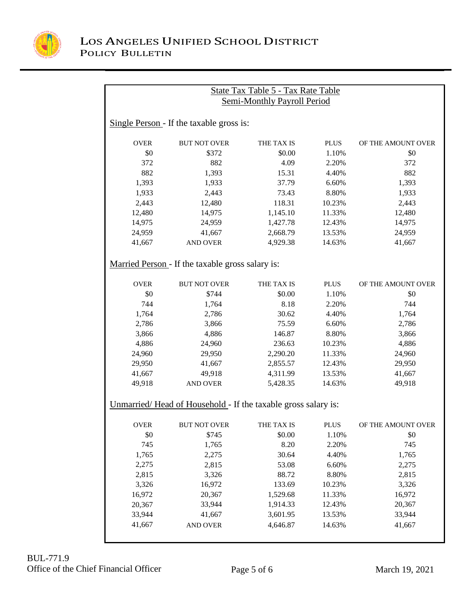

|             |                                                               | State Tax Table 5 - Tax Rate Table |             |                    |
|-------------|---------------------------------------------------------------|------------------------------------|-------------|--------------------|
|             |                                                               | <b>Semi-Monthly Payroll Period</b> |             |                    |
|             | Single Person - If the taxable gross is:                      |                                    |             |                    |
| <b>OVER</b> | <b>BUT NOT OVER</b>                                           | THE TAX IS                         | <b>PLUS</b> | OF THE AMOUNT OVER |
| \$0         | \$372                                                         | \$0.00                             | 1.10%       | \$0                |
| 372         | 882                                                           | 4.09                               | 2.20%       | 372                |
| 882         | 1,393                                                         | 15.31                              | 4.40%       | 882                |
| 1,393       | 1,933                                                         | 37.79                              | 6.60%       | 1,393              |
| 1,933       | 2,443                                                         | 73.43                              | 8.80%       | 1,933              |
| 2,443       | 12,480                                                        | 118.31                             | 10.23%      | 2,443              |
| 12,480      | 14,975                                                        | 1,145.10                           | 11.33%      | 12,480             |
| 14,975      | 24,959                                                        | 1,427.78                           | 12.43%      | 14,975             |
| 24,959      | 41,667                                                        | 2,668.79                           | 13.53%      | 24,959             |
| 41,667      | <b>AND OVER</b>                                               | 4,929.38                           | 14.63%      | 41,667             |
|             | Married Person - If the taxable gross salary is:              |                                    |             |                    |
| <b>OVER</b> | <b>BUT NOT OVER</b>                                           | THE TAX IS                         | PLUS        | OF THE AMOUNT OVER |
| \$0         | \$744                                                         | \$0.00                             | 1.10%       | \$0                |
| 744         | 1,764                                                         | 8.18                               | 2.20%       | 744                |
| 1,764       | 2,786                                                         | 30.62                              | 4.40%       | 1,764              |
| 2,786       | 3,866                                                         | 75.59                              | 6.60%       | 2,786              |
| 3,866       | 4,886                                                         | 146.87                             | 8.80%       | 3,866              |
| 4,886       | 24,960                                                        | 236.63                             | 10.23%      | 4,886              |
| 24,960      | 29,950                                                        | 2,290.20                           | 11.33%      | 24,960             |
| 29,950      | 41,667                                                        | 2,855.57                           | 12.43%      | 29,950             |
| 41,667      | 49,918                                                        | 4,311.99                           | 13.53%      | 41,667             |
| 49,918      | <b>AND OVER</b>                                               | 5,428.35                           | 14.63%      | 49,918             |
|             | Unmarried/Head of Household - If the taxable gross salary is: |                                    |             |                    |
| <b>OVER</b> | <b>BUT NOT OVER</b>                                           | THE TAX IS                         | <b>PLUS</b> | OF THE AMOUNT OVER |
| \$0         | \$745                                                         | \$0.00                             | 1.10%       | \$0                |
| 745         | 1,765                                                         | 8.20                               | 2.20%       | 745                |
| 1,765       | 2,275                                                         | 30.64                              | 4.40%       | 1,765              |
| 2,275       | 2,815                                                         | 53.08                              | 6.60%       | 2,275              |
| 2,815       | 3,326                                                         | 88.72                              | 8.80%       | 2,815              |
| 3,326       | 16,972                                                        | 133.69                             | 10.23%      | 3,326              |
| 16,972      | 20,367                                                        | 1,529.68                           | 11.33%      | 16,972             |
| 20,367      | 33,944                                                        | 1,914.33                           | 12.43%      | 20,367             |
| 33,944      | 41,667                                                        | 3,601.95                           | 13.53%      | 33,944             |
| 41,667      | AND OVER                                                      | 4,646.87                           | 14.63%      | 41,667             |
|             |                                                               |                                    |             |                    |